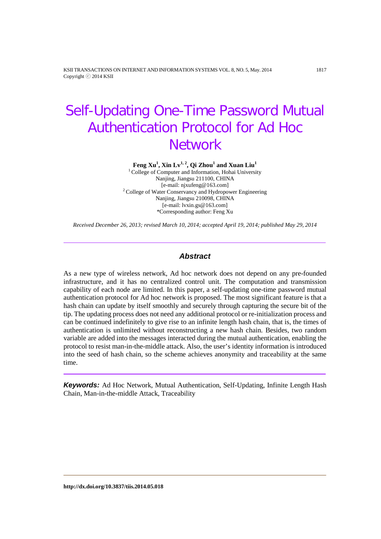KSII TRANSACTIONS ON INTERNET AND INFORMATION SYSTEMS VOL. 8, NO. 5, May. 2014 1817 Copyright ⓒ 2014 KSII

# Self-Updating One-Time Password Mutual Authentication Protocol for Ad Hoc **Network**

 $\mathbf{Feng\;} \mathbf{Xu}^1, \mathbf{Xin}\; \mathbf{Lv}^{1,\,2}, \mathbf{Qi\;} \mathbf{Zhou}^1$  and  $\mathbf{Xuan}\; \mathbf{Liu}^1$ 

<sup>1</sup> College of Computer and Information, Hohai University Nanjing, Jiangsu 211100, CHINA<br>[e-mail: njxufeng@163.com]  $2^2$  College of Water Conservancy and Hydropower Engineering Nanjing, Jiangsu 210098, CHINA [e-mail: lvxin.gs@163.com] \*Corresponding author: Feng Xu

*Received December 26, 2013; revised March 10, 2014; accepted April 19, 2014; published May 29, 2014*

# *Abstract*

As a new type of wireless network, Ad hoc network does not depend on any pre-founded infrastructure, and it has no centralized control unit. The computation and transmission capability of each node are limited. In this paper, a self-updating one-time password mutual authentication protocol for Ad hoc network is proposed. The most significant feature is that a hash chain can update by itself smoothly and securely through capturing the secure bit of the tip. The updating process does not need any additional protocol or re-initialization process and can be continued indefinitely to give rise to an infinite length hash chain, that is, the times of authentication is unlimited without reconstructing a new hash chain. Besides, two random variable are added into the messages interacted during the mutual authentication, enabling the protocol to resist man-in-the-middle attack. Also, the user's identity information is introduced into the seed of hash chain, so the scheme achieves anonymity and traceability at the same time.

*Keywords:* Ad Hoc Network, Mutual Authentication, Self-Updating, Infinite Length Hash Chain, Man-in-the-middle Attack, Traceability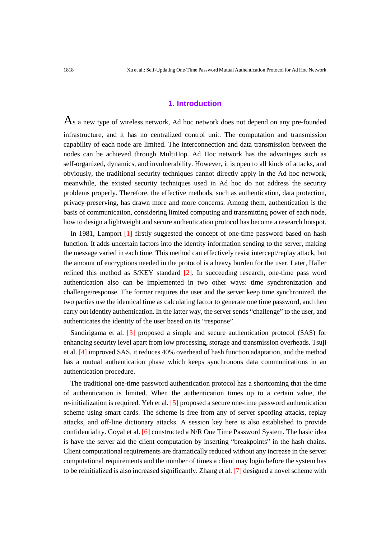## **1. Introduction**

As a new type of wireless network, Ad hoc network does not depend on any pre-founded infrastructure, and it has no centralized control unit. The computation and transmission capability of each node are limited. The interconnection and data transmission between the nodes can be achieved through MultiHop. Ad Hoc network has the advantages such as self-organized, dynamics, and invulnerability. However, it is open to all kinds of attacks, and obviously, the traditional security techniques cannot directly apply in the Ad hoc network, meanwhile, the existed security techniques used in Ad hoc do not address the security problems properly. Therefore, the effective methods, such as authentication, data protection, privacy-preserving, has drawn more and more concerns. Among them, authentication is the basis of communication, considering limited computing and transmitting power of each node, how to design a lightweight and secure authentication protocol has become a research hotspot.

In 1981, Lamport [1] firstly suggested the concept of one-time password based on hash function. It adds uncertain factors into the identity information sending to the server, making the message varied in each time. This method can effectively resist intercept/replay attack, but the amount of encryptions needed in the protocol is a heavy burden for the user. Later, Haller refined this method as S/KEY standard [2]. In succeeding research, one-time pass word authentication also can be implemented in two other ways: time synchronization and challenge/response. The former requires the user and the server keep time synchronized, the two parties use the identical time as calculating factor to generate one time password, and then carry out identity authentication. In the latter way, the server sends "challenge" to the user, and authenticates the identity of the user based on its "response".

Sandirigama et al. [3] proposed a simple and secure authentication protocol (SAS) for enhancing security level apart from low processing, storage and transmission overheads. Tsuji et al. [4] improved SAS, it reduces 40% overhead of hash function adaptation, and the method has a mutual authentication phase which keeps synchronous data communications in an authentication procedure.

The traditional one-time password authentication protocol has a shortcoming that the time of authentication is limited. When the authentication times up to a certain value, the re-initialization is required. Yeh et al. [5] proposed a secure one-time password authentication scheme using smart cards. The scheme is free from any of server spoofing attacks, replay attacks, and off-line dictionary attacks. A session key here is also established to provide confidentiality. Goyal et al. [6] constructed a N/R One Time Password System. The basic idea is have the server aid the client computation by inserting "breakpoints" in the hash chains. Client computational requirements are dramatically reduced without any increase in the server computational requirements and the number of times a client may login before the system has to be reinitialized is also increased significantly. Zhang et al. [7] designed a novel scheme with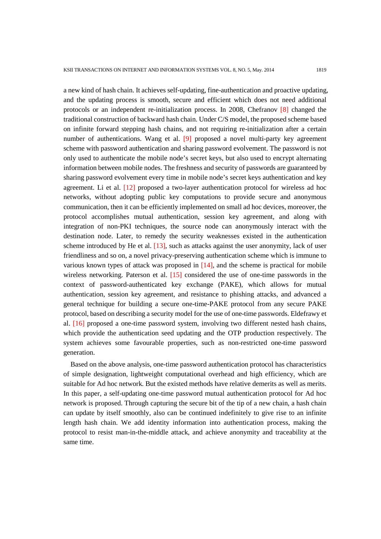a new kind of hash chain. It achieves self-updating, fine-authentication and proactive updating, and the updating process is smooth, secure and efficient which does not need additional protocols or an independent re-initialization process. In 2008, Chefranov [8] changed the traditional construction of backward hash chain. Under C/S model, the proposed scheme based on infinite forward stepping hash chains, and not requiring re-initialization after a certain number of authentications. Wang et al. [9] proposed a novel multi-party key agreement scheme with password authentication and sharing password evolvement. The password is not only used to authenticate the mobile node's secret keys, but also used to encrypt alternating information between mobile nodes. The freshness and security of passwords are guaranteed by sharing password evolvement every time in mobile node's secret keys authentication and key agreement. Li et al. [12] proposed a two-layer authentication protocol for wireless ad hoc networks, without adopting public key computations to provide secure and anonymous communication, then it can be efficiently implemented on small ad hoc devices, moreover, the protocol accomplishes mutual authentication, session key agreement, and along with integration of non-PKI techniques, the source node can anonymously interact with the destination node. Later, to remedy the security weaknesses existed in the authentication scheme introduced by He et al. [13], such as attacks against the user anonymity, lack of user friendliness and so on, a novel privacy-preserving authentication scheme which is immune to various known types of attack was proposed in [14], and the scheme is practical for mobile wireless networking. Paterson et al. [15] considered the use of one-time passwords in the context of password-authenticated key exchange (PAKE), which allows for mutual authentication, session key agreement, and resistance to phishing attacks, and advanced a general technique for building a secure one-time-PAKE protocol from any secure PAKE protocol, based on describing a security model for the use of one-time passwords. Eldefrawy et al. [16] proposed a one-time password system, involving two different nested hash chains, which provide the authentication seed updating and the OTP production respectively. The system achieves some favourable properties, such as non-restricted one-time password generation.

Based on the above analysis, one-time password authentication protocol has characteristics of simple designation, lightweight computational overhead and high efficiency, which are suitable for Ad hoc network. But the existed methods have relative demerits as well as merits. In this paper, a self-updating one-time password mutual authentication protocol for Ad hoc network is proposed. Through capturing the secure bit of the tip of a new chain, a hash chain can update by itself smoothly, also can be continued indefinitely to give rise to an infinite length hash chain. We add identity information into authentication process, making the protocol to resist man-in-the-middle attack, and achieve anonymity and traceability at the same time.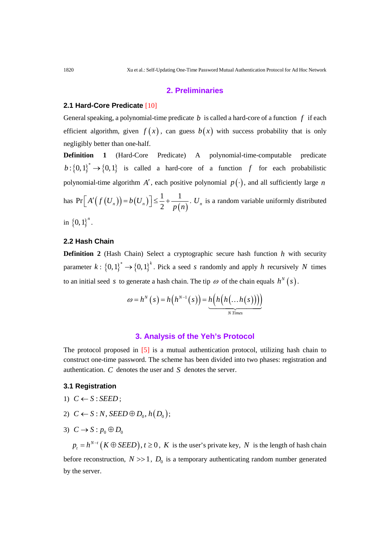## **2. Preliminaries**

#### **2.1 Hard-Core Predicate** [10]

General speaking, a polynomial-time predicate *b* is called a hard-core of a function *f* if each efficient algorithm, given  $f(x)$ , can guess  $b(x)$  with success probability that is only negligibly better than one-half.

**Definition 1** (Hard-Core Predicate) A polynomial-time-computable predicate  $b: \{0,1\}^* \to \{0,1\}$  is called a hard-core of a function f for each probabilistic polynomial-time algorithm *A'*, each positive polynomial  $p(\cdot)$ , and all sufficiently large *n* has  $Pr[A'(f(U_n))] = b(U_n)] \leq \frac{1}{2} + \frac{1}{p(n)}$ .  $U_n$  is a random variable uniformly distributed in  ${0,1}^n$ .

# **2.2 Hash Chain**

**Definition 2** (Hash Chain) Select a cryptographic secure hash function *h* with security parameter  $k: \{0,1\}^* \to \{0,1\}^k$ . Pick a seed *s* randomly and apply *h* recursively *N* times to an initial seed *s* to generate a hash chain. The tip  $\omega$  of the chain equals  $h^N(s)$ .

$$
\omega = h^N(s) = h(h^{N-1}(s)) = h(h(h(...h(s))))
$$
  
 
$$
\underbrace{h(h(n...h(s))))}_{N\text{ Times}}
$$

## **3. Analysis of the Yeh's Protocol**

The protocol proposed in [5] is a mutual authentication protocol, utilizing hash chain to construct one-time password. The scheme has been divided into two phases: registration and authentication. *C* denotes the user and *S* denotes the server.

#### **3.1 Registration**

- 1)  $C \leftarrow S$  : *SEED* ;
- 2)  $C \leftarrow S : N$ , *SEED*  $\oplus D_0$ ,  $h(D_0)$ ;
- 3)  $C \rightarrow S : p_0 \oplus D_0$

 $p_t = h^{N-t} (K \oplus SEED), t \ge 0, K$  is the user's private key, *N* is the length of hash chain before reconstruction,  $N \gg 1$ ,  $D_0$  is a temporary authenticating random number generated by the server.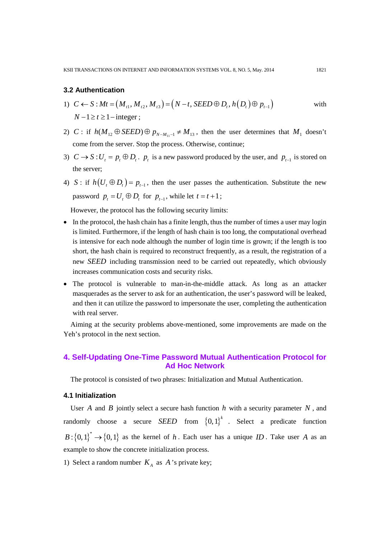## **3.2 Authentication**

- 1)  $C \leftarrow S : Mt = (M_{t_1}, M_{t_2}, M_{t_3}) = (N t, SEED \oplus D_t, h(D_t) \oplus p_{t-1})$  with  $N-1 \ge t \ge 1$  – integer :
- 2) *C* : if  $h(M_{12} \oplus \text{SEED}) \oplus p_{N-M_{11}-1} \neq M_{13}$ , then the user determines that  $M_1$  doesn't come from the server. Stop the process. Otherwise, continue;
- 3)  $C \rightarrow S: U_t = p_t \oplus D_t$ .  $p_t$  is a new password produced by the user, and  $p_{t-1}$  is stored on the server;
- 4) *S* : if  $h(U_t \oplus D_t) = p_{t-1}$ , then the user passes the authentication. Substitute the new password  $p_t = U_t \oplus D_t$  for  $p_{t-1}$ , while let  $t = t+1$ ;

However, the protocol has the following security limits:

- In the protocol, the hash chain has a finite length, thus the number of times a user may login is limited. Furthermore, if the length of hash chain is too long, the computational overhead is intensive for each node although the number of login time is grown; if the length is too short, the hash chain is required to reconstruct frequently, as a result, the registration of a new *SEED* including transmission need to be carried out repeatedly, which obviously increases communication costs and security risks.
- The protocol is vulnerable to man-in-the-middle attack. As long as an attacker masquerades as the server to ask for an authentication, the user's password will be leaked, and then it can utilize the password to impersonate the user, completing the authentication with real server.

Aiming at the security problems above-mentioned, some improvements are made on the Yeh's protocol in the next section.

# **4. Self-Updating One-Time Password Mutual Authentication Protocol for Ad Hoc Network**

The protocol is consisted of two phrases: Initialization and Mutual Authentication.

## **4.1 Initialization**

User *A* and *B* jointly select a secure hash function *h* with a security parameter *N*, and randomly choose a secure *SEED* from  $\{0,1\}^k$ . Select a predicate function  ${B}$ :  ${0,1}^*$   $\rightarrow$   ${0,1}$  as the kernel of *h*. Each user has a unique *ID*. Take user *A* as an example to show the concrete initialization process.

1) Select a random number  $K_A$  as  $A$ 's private key;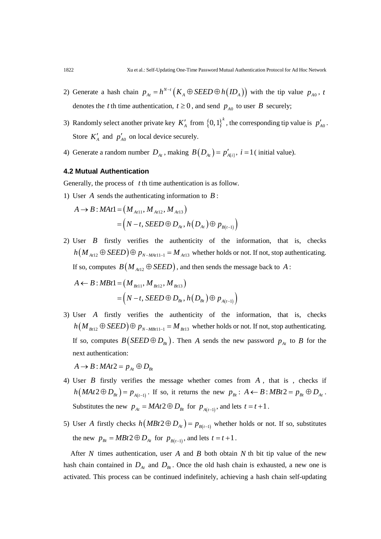- 2) Generate a hash chain  $p_{At} = h^{N-t} (K_A \oplus SEED \oplus h (ID_A))$  with the tip value  $p_{A0}$ , *t* denotes the *t* th time authentication,  $t \ge 0$ , and send  $p_{A0}$  to user *B* securely;
- 3) Randomly select another private key  $K'_{A}$  from  $\{0,1\}^{k}$ , the corresponding tip value is  $p'_{A0}$ . Store  $K'_A$  and  $p'_{A0}$  on local device securely.
- 4) Generate a random number  $D_{At}$ , making  $B(D_{At}) = p'_{Ati}$ ,  $i = 1$  (initial value).

## **4.2 Mutual Authentication**

Generally, the process of *t* th time authentication is as follow.

1) User *A* sends the authenticating information to *B* :

$$
A \to B: MAt1 = (M_{At11}, M_{At12}, M_{At13})
$$
  
=  $(N - t, SEED \oplus D_{At}, h(D_{At}) \oplus p_{B(t-1)})$ 

2) User *B* firstly verifies the authenticity of the information, that is, checks  $h(M_{At12} \oplus SEED) \oplus p_{N-MAT11-1} = M_{At13}$  whether holds or not. If not, stop authenticating. If so, computes  $B(M_{At12} \oplus SEED)$ , and then sends the message back to *A*:

$$
A \leftarrow B : MBt1 = (M_{Bt11}, M_{Bt12}, M_{Bt13})
$$
  
=  $(N - t, SEED \oplus D_{Bt}, h(D_{Bt}) \oplus p_{A(t-1)})$ 

3) User *A* firstly verifies the authenticity of the information, that is, checks  $h(M_{Bt12} \oplus SEED) \oplus p_{N-MBt11-1} = M_{Bt13}$  whether holds or not. If not, stop authenticating. If so, computes  $B(SEED \oplus D_{Bt})$ . Then *A* sends the new password  $p_{At}$  to *B* for the next authentication:

 $A \rightarrow B$ :  $MAt2 = p_{A_t} \oplus D_{B_t}$ 

- 4) User *B* firstly verifies the message whether comes from *A* , that is , checks if  $h(MAt2 \oplus D_{Bt}) = p_{A(t-1)}$ . If so, it returns the new  $p_{Bt}$ :  $A \leftarrow B$ :  $MBt2 = p_{Bt} \oplus D_{At}$ . Substitutes the new  $p_{At} = MAt 2 \oplus D_{Bt}$  for  $p_{A(t-1)}$ , and lets  $t = t + 1$ .
- 5) User *A* firstly checks  $h(MBt 2 \oplus D_{At}) = p_{B(t-1)}$  whether holds or not. If so, substitutes the new  $p_{Bt} = MBt2 \oplus D_{At}$  for  $p_{B(t-1)}$ , and lets  $t = t + 1$ .

After *N* times authentication, user *A* and *B* both obtain *N* th bit tip value of the new hash chain contained in  $D_{\scriptscriptstyle{At}}$  and  $D_{\scriptscriptstyle{Bt}}$ . Once the old hash chain is exhausted, a new one is activated. This process can be continued indefinitely, achieving a hash chain self-updating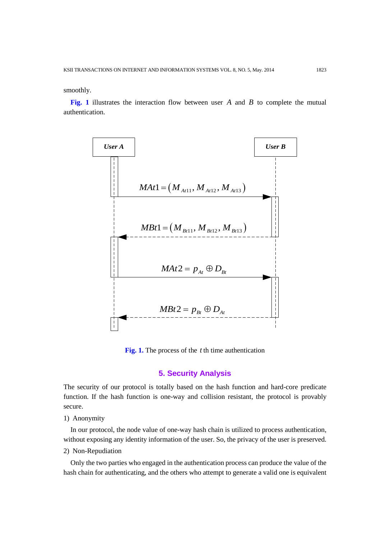smoothly.

**Fig. 1** illustrates the interaction flow between user *A* and *B* to complete the mutual authentication.



**Fig. 1.** The process of the *t* th time authentication

### **5. Security Analysis**

The security of our protocol is totally based on the hash function and hard-core predicate function. If the hash function is one-way and collision resistant, the protocol is provably secure.

1) Anonymity

In our protocol, the node value of one-way hash chain is utilized to process authentication, without exposing any identity information of the user. So, the privacy of the user is preserved.

2) Non-Repudiation

Only the two parties who engaged in the authentication process can produce the value of the hash chain for authenticating, and the others who attempt to generate a valid one is equivalent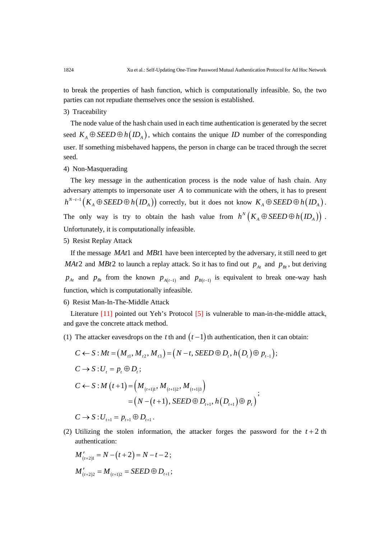to break the properties of hash function, which is computationally infeasible. So, the two parties can not repudiate themselves once the session is established.

#### 3) Traceability

The node value of the hash chain used in each time authentication is generated by the secret seed  $K_A \oplus SEED \oplus h(ID_A)$ , which contains the unique *ID* number of the corresponding user. If something misbehaved happens, the person in charge can be traced through the secret seed.

#### 4) Non-Masquerading

The key message in the authentication process is the node value of hash chain. Any adversary attempts to impersonate user *A* to communicate with the others, it has to present  $h^{N-t-1}(K_A \oplus SEED \oplus h(ID_A))$  correctly, but it does not know  $K_A \oplus SEED \oplus h(ID_A)$ . The only way is try to obtain the hash value from  $h^N\left( K_A \oplus SEED \oplus h\left( ID_A \right) \right)$ . Unfortunately, it is computationally infeasible.

### 5) Resist Replay Attack

If the message *MAt*1 and *MBt*1 have been intercepted by the adversary, it still need to get *MAt*2 and *MBt*2 to launch a replay attack. So it has to find out  $p_{At}$  and  $p_{Bt}$ , but deriving  $p_{At}$  and  $p_{Bt}$  from the known  $p_{A(t-1)}$  and  $p_{B(t-1)}$  is equivalent to break one-way hash function, which is computationally infeasible.

6) Resist Man-In-The-Middle Attack

Literature [11] pointed out Yeh's Protocol [5] is vulnerable to man-in-the-middle attack, and gave the concrete attack method.

(1) The attacker eavesdrops on the *t* th and  $(t-1)$  th authentication, then it can obtain:

$$
C \leftarrow S : Mt = (M_{t1}, M_{t2}, M_{t3}) = (N - t, SEED \oplus D_t, h(D_t) \oplus p_{t-1});
$$
  
\n
$$
C \rightarrow S : U_t = p_t \oplus D_t;
$$
  
\n
$$
C \leftarrow S : M (t+1) = (M_{(t+1)1}, M_{(t+1)2}, M_{(t+1)3})
$$
  
\n
$$
= (N - (t+1), SEED \oplus D_{t+1}, h(D_{t+1}) \oplus p_t);
$$

 $C \to S: U_{t+1} = p_{t+1} \oplus D_{t+1}$ .

(2) Utilizing the stolen information, the attacker forges the password for the  $t + 2$  th authentication:

$$
M'_{(t+2)1} = N - (t+2) = N - t - 2;
$$
  

$$
M'_{(t+2)2} = M_{(t+1)2} = SEED \oplus D_{t+1};
$$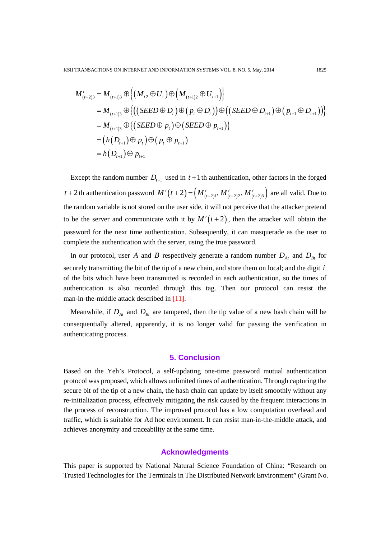$$
M'_{(t+2)3} = M_{(t+1)3} \oplus \Big\{ (M_{t2} \oplus U_t) \oplus (M_{(t+1)2} \oplus U_{t+1}) \Big\}
$$
  
=  $M_{(t+1)3} \oplus \Big\{ ((\text{SEED} \oplus D_t) \oplus (p_t \oplus D_t)) \oplus ((\text{SEED} \oplus D_{t+1}) \oplus (p_{t+1} \oplus D_{t+1})) \Big\}$   
=  $M_{(t+1)3} \oplus \Big\{ (\text{SEED} \oplus p_t) \oplus (\text{SEED} \oplus p_{t+1}) \Big\}$   
=  $(h(D_{t+1}) \oplus p_t) \oplus (p_t \oplus p_{t+1})$   
=  $h(D_{t+1}) \oplus p_{t+1}$ 

Except the random number  $D_{t+1}$  used in  $t+1$  th authentication, other factors in the forged  $t + 2$  th authentication password  $M'(t + 2) = (M'_{(t+2)1}, M'_{(t+2)2}, M'_{(t+2)3})$  are all valid. Due to the random variable is not stored on the user side, it will not perceive that the attacker pretend to be the server and communicate with it by  $M'(t+2)$ , then the attacker will obtain the password for the next time authentication. Subsequently, it can masquerade as the user to complete the authentication with the server, using the true password.

In our protocol, user *A* and *B* respectively generate a random number  $D_{At}$  and  $D_{Bt}$  for securely transmitting the bit of the tip of a new chain, and store them on local; and the digit *i* of the bits which have been transmitted is recorded in each authentication, so the times of authentication is also recorded through this tag. Then our protocol can resist the man-in-the-middle attack described in [11].

Meanwhile, if  $D_{At}$  and  $D_{Bt}$  are tampered, then the tip value of a new hash chain will be consequentially altered, apparently, it is no longer valid for passing the verification in authenticating process.

#### **5. Conclusion**

Based on the Yeh's Protocol, a self-updating one-time password mutual authentication protocol was proposed, which allows unlimited times of authentication. Through capturing the secure bit of the tip of a new chain, the hash chain can update by itself smoothly without any re-initialization process, effectively mitigating the risk caused by the frequent interactions in the process of reconstruction. The improved protocol has a low computation overhead and traffic, which is suitable for Ad hoc environment. It can resist man-in-the-middle attack, and achieves anonymity and traceability at the same time.

## **Acknowledgments**

This paper is supported by National Natural Science Foundation of China: "Research on Trusted Technologies for The Terminals in The Distributed Network Environment" (Grant No.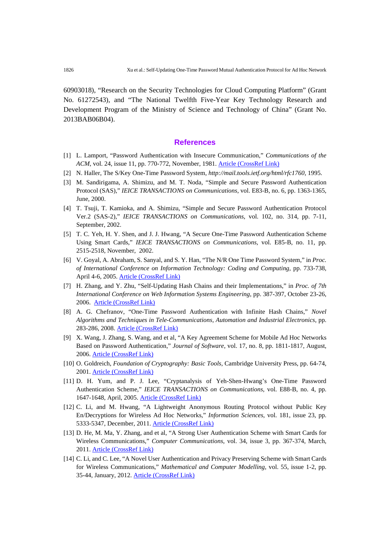60903018), "Research on the Security Technologies for Cloud Computing Platform" (Grant No. 61272543), and "The National Twelfth Five-Year Key Technology Research and Development Program of the Ministry of Science and Technology of China" (Grant No. 2013BAB06B04).

#### **References**

- [1] L. Lamport, "Password Authentication with Insecure Communication," *Communications of the*  ACM, vol. 24, issue 11, pp. 770-772, November, 1981. **[Article \(CrossRef Link\)](http://dx.doi.org/10.1145/358790.358797)**
- [2] N. Haller, The S/Key One-Time Password System, *http://mail.tools.ietf.org/html/rfc1760*, 1995.
- [3] M. Sandirigama, A. Shimizu, and M. T. Noda, "Simple and Secure Password Authentication Protocol (SAS)," *IEICE TRANSACTIONS on Communications*, vol. E83-B, no. 6, pp. 1363-1365, June, 2000.
- [4] T. Tsuji, T. Kamioka, and A. Shimizu, "Simple and Secure Password Authentication Protocol Ver.2 (SAS-2)," *IEICE TRANSACTIONS on Communications*, vol. 102, no. 314, pp. 7-11, September, 2002.
- [5] T. C. Yeh, H. Y. Shen, and J. J. Hwang, "A Secure One-Time Password Authentication Scheme Using Smart Cards," *IEICE TRANSACTIONS on Communications*, vol. E85-B, no. 11, pp. 2515-2518, November, 2002.
- [6] V. Goyal, A. Abraham, S. Sanyal, and S. Y. Han, "The N/R One Time Password System," in *Proc. of International Conference on Information Technology: Coding and Computing*, pp. 733-738, April 4-6, 2005. **[Article \(CrossRef Link\)](http://dx.doi.org/10.1109/ITCC.2005.275)**
- [7] H. Zhang, and Y. Zhu, "Self-Updating Hash Chains and their Implementations," in *Proc. of 7th International Conference on Web Information Systems Engineering*, pp. 387-397, October 23-26, 2006. [Article \(CrossRef Link\)](http://dx.doi.org/10.1007/11912873_40)
- [8] A. G. Chefranov, "One-Time Password Authentication with Infinite Hash Chains," *Novel Algorithms and Techniques in Tele-Communications, Automation and Industrial Electronics*, pp. 283-286, 2008. [Article \(CrossRef Link\)](http://dx.doi.org/10.1007/978-1-4020-8737-0_51)
- [9] X. Wang, J. Zhang, S. Wang, and et al, "A Key Agreement Scheme for Mobile Ad Hoc Networks Based on Password Authentication," *Journal of Software*, vol. 17, no. 8, pp. 1811-1817, August, 2006. [Article \(CrossRef Link\)](http://dx.doi.org/10.1360/jos171811)
- [10] O. Goldreich, *Foundation of Cryptography: Basic Tools*, Cambridge University Press, pp. 64-74, 2001. [Article \(CrossRef Link\)](http://dx.doi.org/10.1017/CBO9780511546891)
- [11] D. H. Yum, and P. J. Lee, "Cryptanalysis of Yeh-Shen-Hwang's One-Time Password Authentication Scheme," *IEICE TRANSACTIONS on Communications*, vol. E88-B, no. 4, pp. 1647-1648, April, 2005. [Article \(CrossRef Link\)](http://dx.doi.org/10.1093/ietcom/e88%E2%80%93b.4.1647)
- [12] C. Li, and M. Hwang, "A Lightweight Anonymous Routing Protocol without Public Key En/Decryptions for Wireless Ad Hoc Networks," *Information Sciences*, vol. 181, issue 23, pp. 5333-5347, December, 2011. [Article \(CrossRef Link\)](http://dx.doi.org/10.1016/j.ins.2011.07.014)
- [13] D. He, M. Ma, Y. Zhang, and et al, "A Strong User Authentication Scheme with Smart Cards for Wireless Communications," *Computer Communications*, vol. 34, issue 3, pp. 367-374, March, 2011. [Article \(CrossRef Link\)](http://dx.doi.org/10.1016/j.comcom.2010.02.031)
- [14] C. Li, and C. Lee, "A Novel User Authentication and Privacy Preserving Scheme with Smart Cards for Wireless Communications," *Mathematical and Computer Modelling*, vol. 55, issue 1-2, pp. 35-44, January, 2012. [Article \(CrossRef Link\)](http://dx.doi.org/10.1016/j.mcm.2011.01.010)